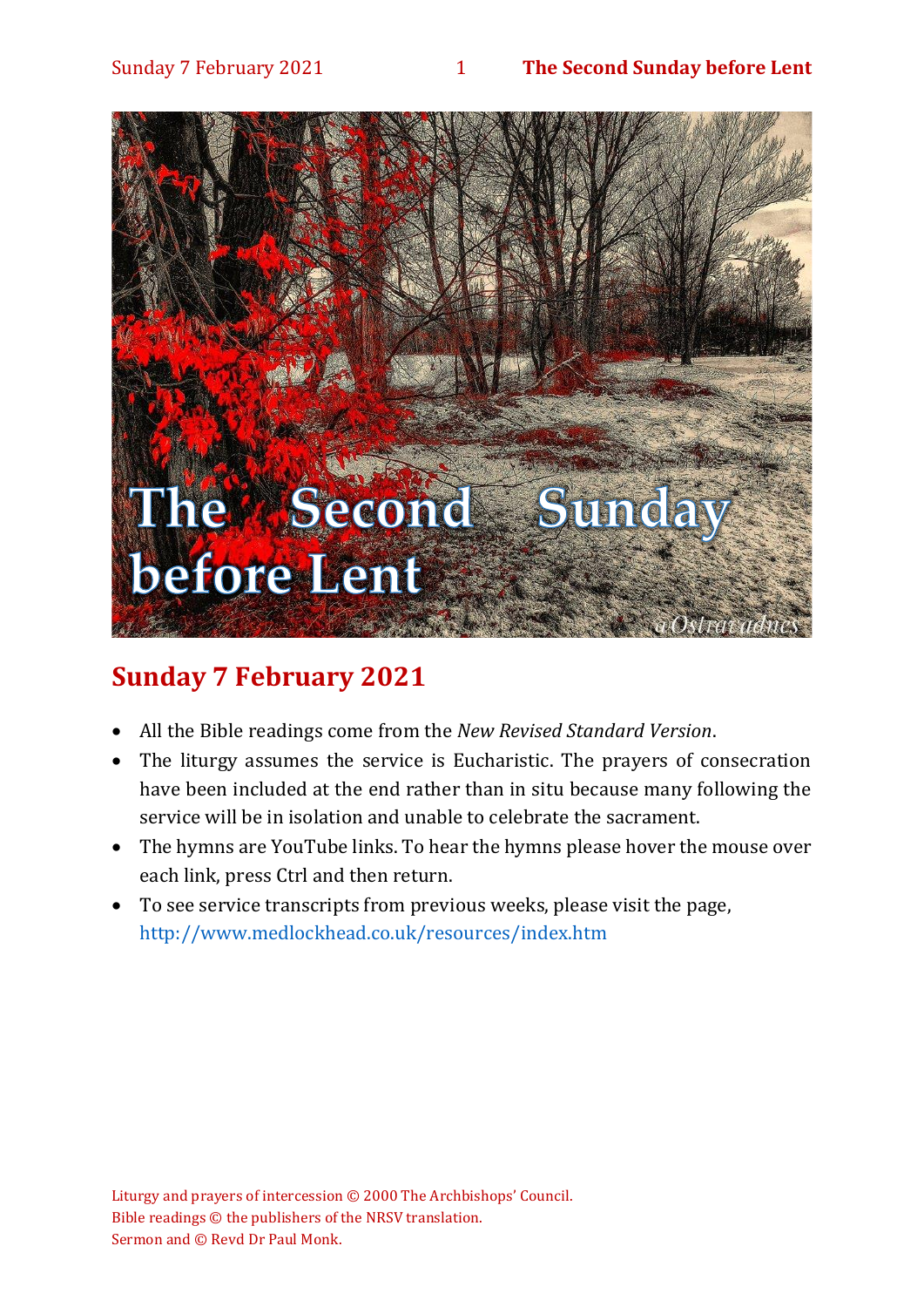#### Sunday 7 February 2021 1 **The Second Sunday before Lent**



# **Sunday 7 February 2021**

- All the Bible readings come from the *New Revised Standard Version*.
- The liturgy assumes the service is Eucharistic. The prayers of consecration have been included at the end rather than in situ because many following the service will be in isolation and unable to celebrate the sacrament.
- The hymns are YouTube links. To hear the hymns please hover the mouse over each link, press Ctrl and then return.
- To see service transcripts from previous weeks, please visit the page, <http://www.medlockhead.co.uk/resources/index.htm>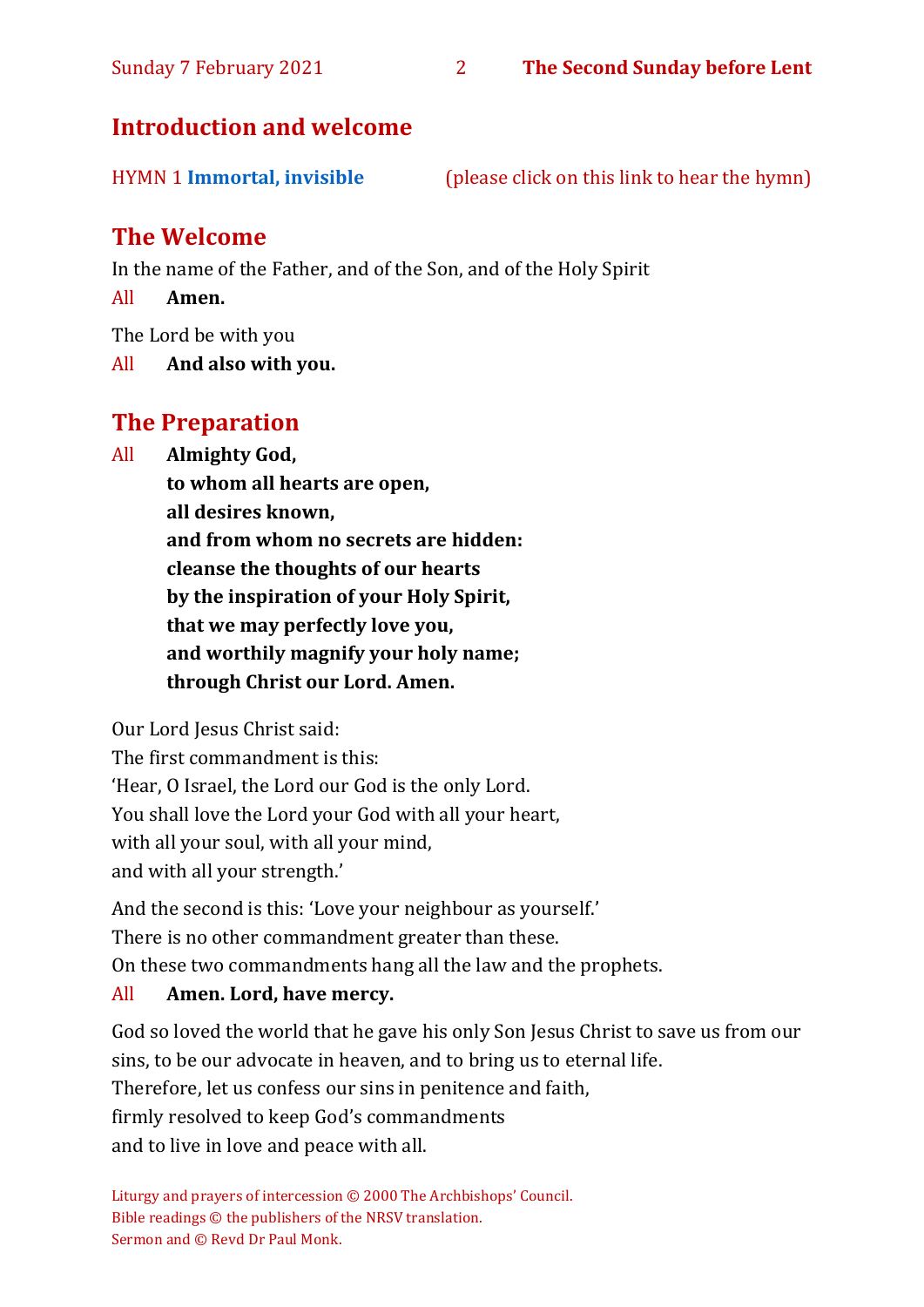# **Introduction and welcome**

| <b>HYMN 1 Immortal, invisible</b> | (please click on this link to hear the hymn) |  |
|-----------------------------------|----------------------------------------------|--|
|                                   |                                              |  |
|                                   |                                              |  |

# **The Welcome**

In the name of the Father, and of the Son, and of the Holy Spirit

All **Amen.**

The Lord be with you

All **And also with you.**

# **The Preparation**

All **Almighty God,**

**to whom all hearts are open, all desires known, and from whom no secrets are hidden: cleanse the thoughts of our hearts by the inspiration of your Holy Spirit, that we may perfectly love you, and worthily magnify your holy name; through Christ our Lord. Amen.**

Our Lord Jesus Christ said:

The first commandment is this: 'Hear, O Israel, the Lord our God is the only Lord. You shall love the Lord your God with all your heart, with all your soul, with all your mind, and with all your strength.'

And the second is this: 'Love your neighbour as yourself.' There is no other commandment greater than these. On these two commandments hang all the law and the prophets.

#### All **Amen. Lord, have mercy.**

God so loved the world that he gave his only Son Jesus Christ to save us from our sins, to be our advocate in heaven, and to bring us to eternal life. Therefore, let us confess our sins in penitence and faith, firmly resolved to keep God's commandments and to live in love and peace with all.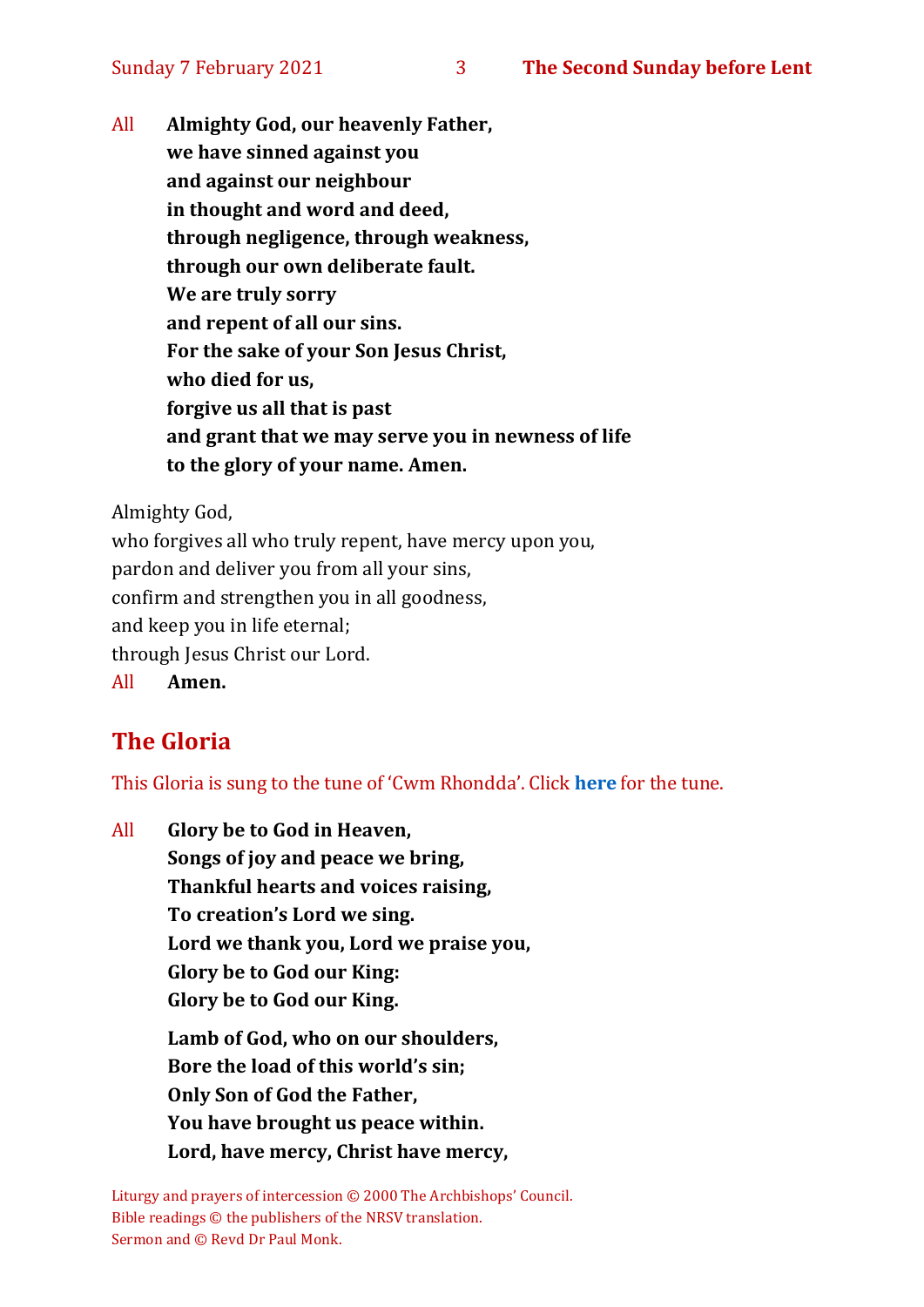All **Almighty God, our heavenly Father, we have sinned against you and against our neighbour in thought and word and deed, through negligence, through weakness, through our own deliberate fault. We are truly sorry and repent of all our sins. For the sake of your Son Jesus Christ, who died for us, forgive us all that is past and grant that we may serve you in newness of life to the glory of your name. Amen.**

Almighty God,

who forgives all who truly repent, have mercy upon you, pardon and deliver you from all your sins, confirm and strengthen you in all goodness, and keep you in life eternal; through Jesus Christ our Lord. All **Amen.**

# **The Gloria**

This Gloria is sung to the tune of 'Cwm Rhondda'. Click **[here](about:blank)** for the tune.

All **Glory be to God in Heaven, Songs of joy and peace we bring, Thankful hearts and voices raising, To creation's Lord we sing. Lord we thank you, Lord we praise you, Glory be to God our King: Glory be to God our King. Lamb of God, who on our shoulders,**

**Bore the load of this world's sin; Only Son of God the Father, You have brought us peace within. Lord, have mercy, Christ have mercy,**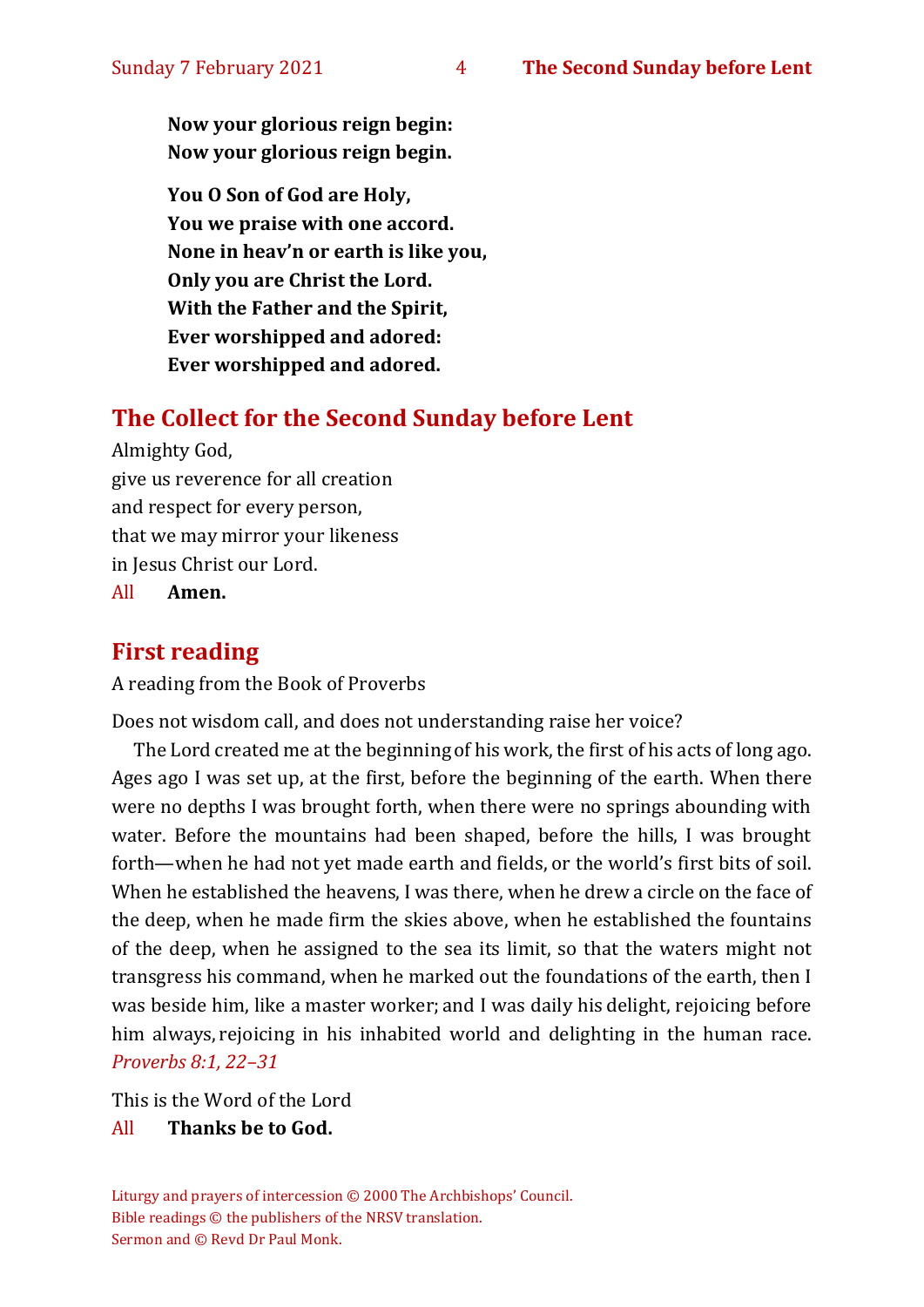**Now your glorious reign begin: Now your glorious reign begin.**

**You O Son of God are Holy, You we praise with one accord. None in heav'n or earth is like you, Only you are Christ the Lord. With the Father and the Spirit, Ever worshipped and adored: Ever worshipped and adored.**

# **The Collect for the Second Sunday before Lent**

Almighty God, give us reverence for all creation and respect for every person, that we may mirror your likeness in Jesus Christ our Lord.

All **Amen.**

### **First reading**

A reading from the Book of Proverbs

Does not wisdom call, and does not understanding raise her voice?

The Lord created me at the beginning of his work, the first of his acts of long ago. Ages ago I was set up, at the first, before the beginning of the earth. When there were no depths I was brought forth, when there were no springs abounding with water. Before the mountains had been shaped, before the hills, I was brought forth—when he had not yet made earth and fields, or the world's first bits of soil. When he established the heavens, I was there, when he drew a circle on the face of the deep, when he made firm the skies above, when he established the fountains of the deep, when he assigned to the sea its limit, so that the waters might not transgress his command, when he marked out the foundations of the earth, then I was beside him, like a master worker; and I was daily his delight, rejoicing before him always, rejoicing in his inhabited world and delighting in the human race. *Proverbs 8:1, 22–31* 

This is the Word of the Lord

#### All **Thanks be to God.**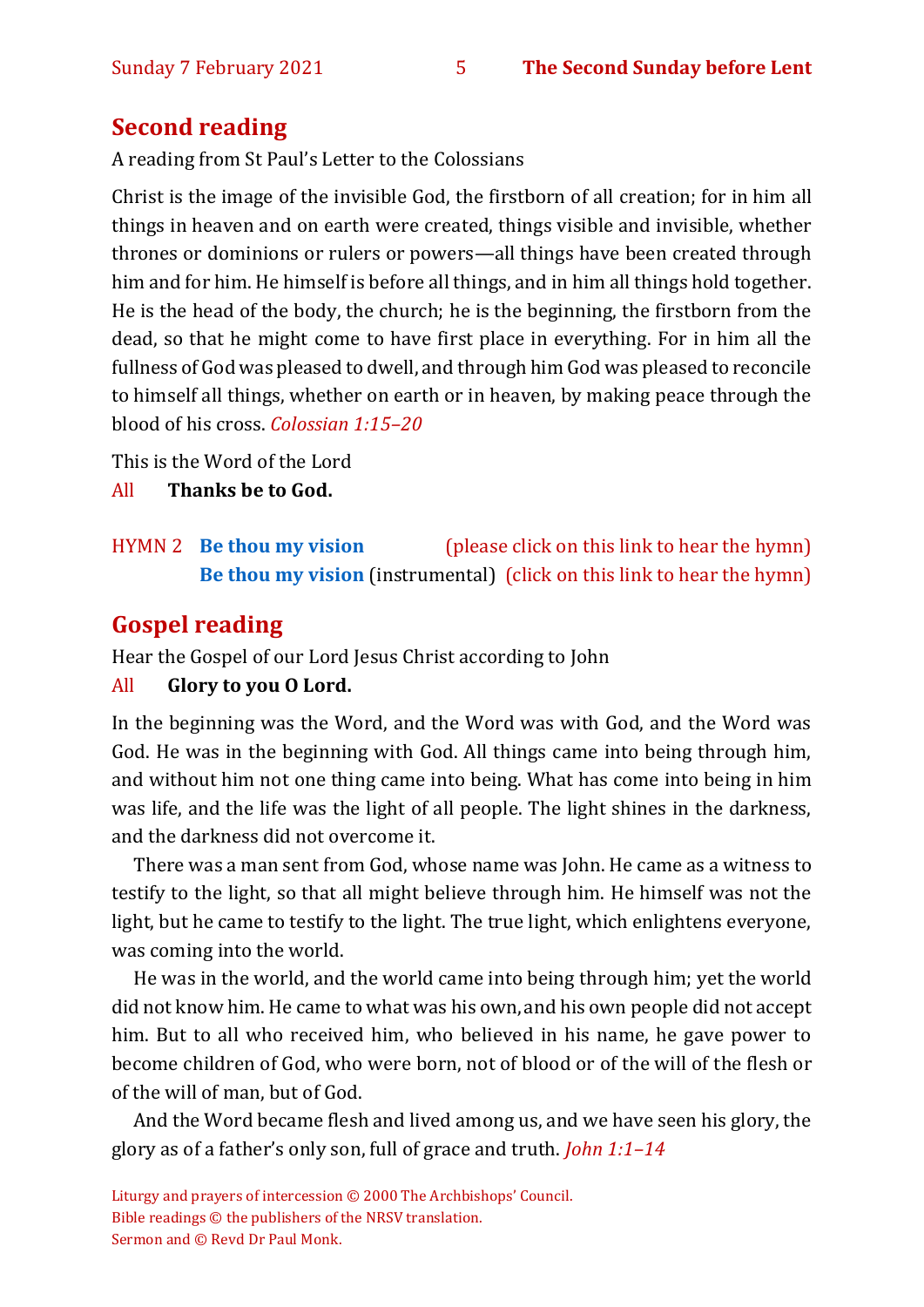# **Second reading**

A reading from St Paul's Letter to the Colossians

Christ is the image of the invisible God, the firstborn of all creation; for in him all things in heaven and on earth were created, things visible and invisible, whether thrones or dominions or rulers or powers—all things have been created through him and for him. He himself is before all things, and in him all things hold together. He is the head of the body, the church; he is the beginning, the firstborn from the dead, so that he might come to have first place in everything. For in him all the fullness of God was pleased to dwell, and through him God was pleased to reconcile to himself all things, whether on earth or in heaven, by making peace through the blood of his cross. *Colossian 1:15–20* 

This is the Word of the Lord

All **Thanks be to God.**

# HYMN 2 **[Be thou my vision](https://www.youtube.com/watch?v=e29wmfues9o)** (please click on this link to hear the hymn) **[Be thou my vision](https://www.youtube.com/watch?v=AZfD5KrH5d8)** (instrumental) (click on this link to hear the hymn)

# **Gospel reading**

Hear the Gospel of our Lord Jesus Christ according to John

#### All **Glory to you O Lord.**

In the beginning was the Word, and the Word was with God, and the Word was God. He was in the beginning with God. All things came into being through him, and without him not one thing came into being. What has come into being in him was life, and the life was the light of all people. The light shines in the darkness, and the darkness did not overcome it.

There was a man sent from God, whose name was John. He came as a witness to testify to the light, so that all might believe through him. He himself was not the light, but he came to testify to the light. The true light, which enlightens everyone, was coming into the world.

He was in the world, and the world came into being through him; yet the world did not know him. He came to what was his own, and his own people did not accept him. But to all who received him, who believed in his name, he gave power to become children of God, who were born, not of blood or of the will of the flesh or of the will of man, but of God.

And the Word became flesh and lived among us, and we have seen his glory, the glory as of a father's only son, full of grace and truth. *John 1:1–14*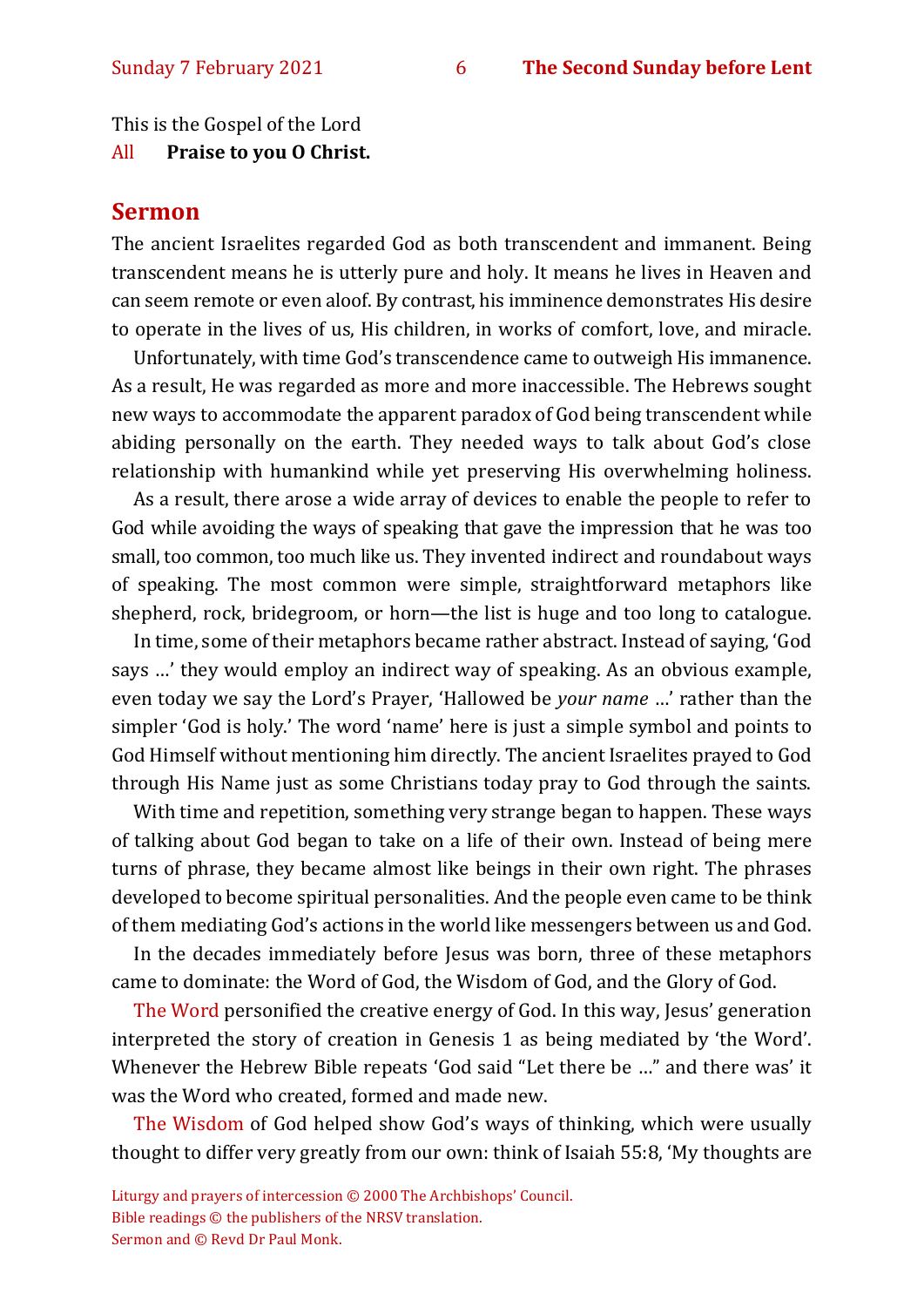This is the Gospel of the Lord

All **Praise to you O Christ.** 

#### **Sermon**

The ancient Israelites regarded God as both transcendent and immanent. Being transcendent means he is utterly pure and holy. It means he lives in Heaven and can seem remote or even aloof. By contrast, his imminence demonstrates His desire to operate in the lives of us, His children, in works of comfort, love, and miracle.

Unfortunately, with time God's transcendence came to outweigh His immanence. As a result, He was regarded as more and more inaccessible. The Hebrews sought new ways to accommodate the apparent paradox of God being transcendent while abiding personally on the earth. They needed ways to talk about God's close relationship with humankind while yet preserving His overwhelming holiness.

As a result, there arose a wide array of devices to enable the people to refer to God while avoiding the ways of speaking that gave the impression that he was too small, too common, too much like us. They invented indirect and roundabout ways of speaking. The most common were simple, straightforward metaphors like shepherd, rock, bridegroom, or horn—the list is huge and too long to catalogue.

In time, some of their metaphors became rather abstract. Instead of saying, 'God says …' they would employ an indirect way of speaking. As an obvious example, even today we say the Lord's Prayer, 'Hallowed be *your name* …' rather than the simpler 'God is holy.' The word 'name' here is just a simple symbol and points to God Himself without mentioning him directly. The ancient Israelites prayed to God through His Name just as some Christians today pray to God through the saints.

With time and repetition, something very strange began to happen. These ways of talking about God began to take on a life of their own. Instead of being mere turns of phrase, they became almost like beings in their own right. The phrases developed to become spiritual personalities. And the people even came to be think of them mediating God's actions in the world like messengers between us and God.

In the decades immediately before Jesus was born, three of these metaphors came to dominate: the Word of God, the Wisdom of God, and the Glory of God.

The Word personified the creative energy of God. In this way, Jesus' generation interpreted the story of creation in Genesis 1 as being mediated by 'the Word'. Whenever the Hebrew Bible repeats 'God said "Let there be …" and there was' it was the Word who created, formed and made new.

The Wisdom of God helped show God's ways of thinking, which were usually thought to differ very greatly from our own: think of Isaiah 55:8, 'My thoughts are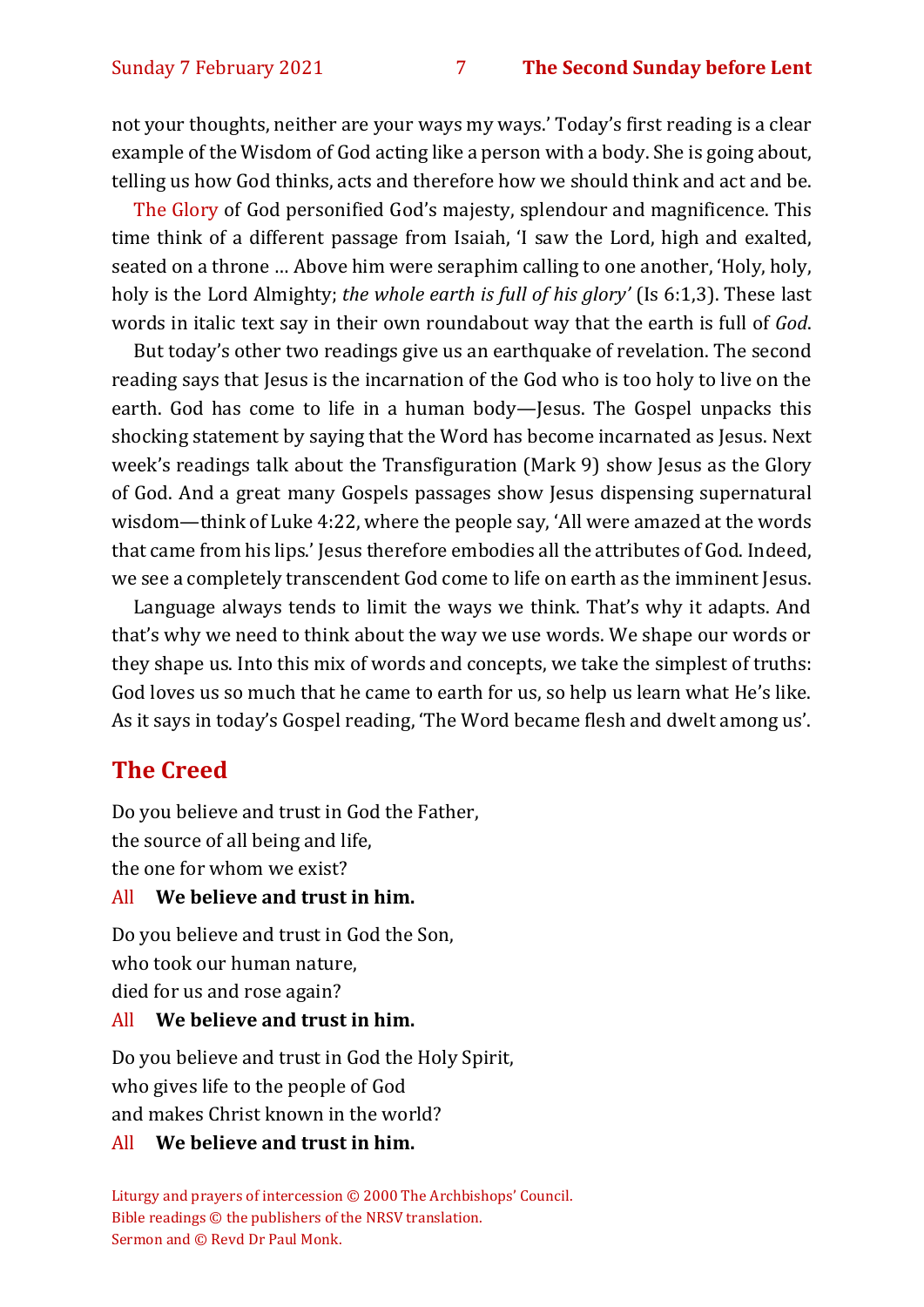not your thoughts, neither are your ways my ways.' Today's first reading is a clear example of the Wisdom of God acting like a person with a body. She is going about, telling us how God thinks, acts and therefore how we should think and act and be.

The Glory of God personified God's majesty, splendour and magnificence. This time think of a different passage from Isaiah, 'I saw the Lord, high and exalted, seated on a throne … Above him were seraphim calling to one another, 'Holy, holy, holy is the Lord Almighty; *the whole earth is full of his glory'* (Is 6:1,3). These last words in italic text say in their own roundabout way that the earth is full of *God*.

But today's other two readings give us an earthquake of revelation. The second reading says that Jesus is the incarnation of the God who is too holy to live on the earth. God has come to life in a human body—Jesus. The Gospel unpacks this shocking statement by saying that the Word has become incarnated as Jesus. Next week's readings talk about the Transfiguration (Mark 9) show Jesus as the Glory of God. And a great many Gospels passages show Jesus dispensing supernatural wisdom—think of Luke 4:22, where the people say, 'All were amazed at the words that came from his lips.' Jesus therefore embodies all the attributes of God. Indeed, we see a completely transcendent God come to life on earth as the imminent Jesus.

Language always tends to limit the ways we think. That's why it adapts. And that's why we need to think about the way we use words. We shape our words or they shape us. Into this mix of words and concepts, we take the simplest of truths: God loves us so much that he came to earth for us, so help us learn what He's like. As it says in today's Gospel reading, 'The Word became flesh and dwelt among us'.

## **The Creed**

Do you believe and trust in God the Father, the source of all being and life, the one for whom we exist?

#### All **We believe and trust in him.**

Do you believe and trust in God the Son, who took our human nature, died for us and rose again?

#### All **We believe and trust in him.**

Do you believe and trust in God the Holy Spirit, who gives life to the people of God and makes Christ known in the world?

#### All **We believe and trust in him.**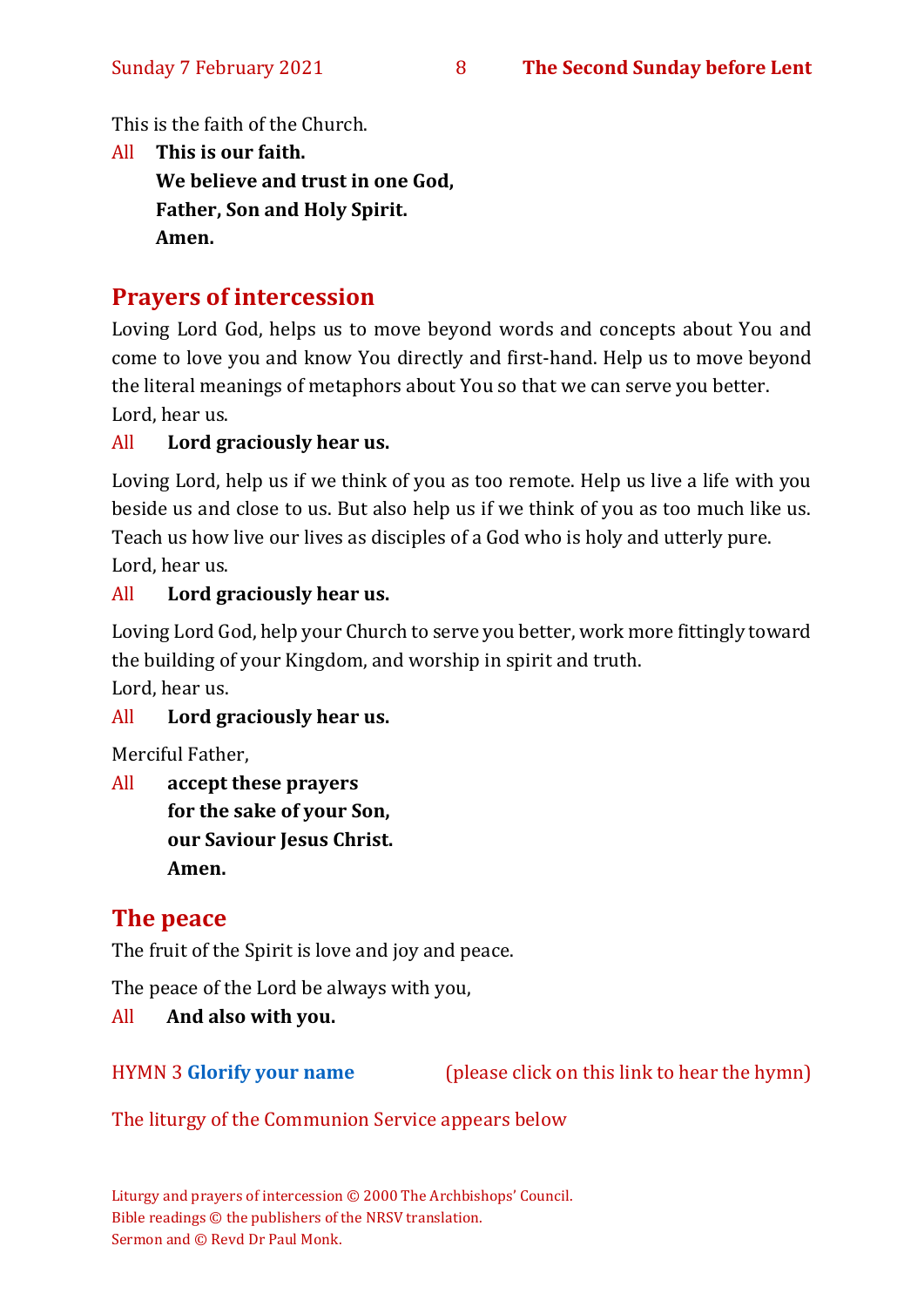This is the faith of the Church.

All **This is our faith. We believe and trust in one God, Father, Son and Holy Spirit. Amen.**

# **Prayers of intercession**

Loving Lord God, helps us to move beyond words and concepts about You and come to love you and know You directly and first-hand. Help us to move beyond the literal meanings of metaphors about You so that we can serve you better. Lord, hear us.

#### All **Lord graciously hear us.**

Loving Lord, help us if we think of you as too remote. Help us live a life with you beside us and close to us. But also help us if we think of you as too much like us. Teach us how live our lives as disciples of a God who is holy and utterly pure. Lord, hear us.

#### All **Lord graciously hear us.**

Loving Lord God, help your Church to serve you better, work more fittingly toward the building of your Kingdom, and worship in spirit and truth.

Lord, hear us.

#### All **Lord graciously hear us.**

Merciful Father,

All **accept these prayers for the sake of your Son, our Saviour Jesus Christ. Amen.**

# **The peace**

The fruit of the Spirit is love and joy and peace.

The peace of the Lord be always with you,

All **And also with you.**

HYMN 3 **[Glorify your name](https://www.youtube.com/watch?v=nJ-lPtTR1nk)** (please click on this link to hear the hymn)

The liturgy of the Communion Service appears below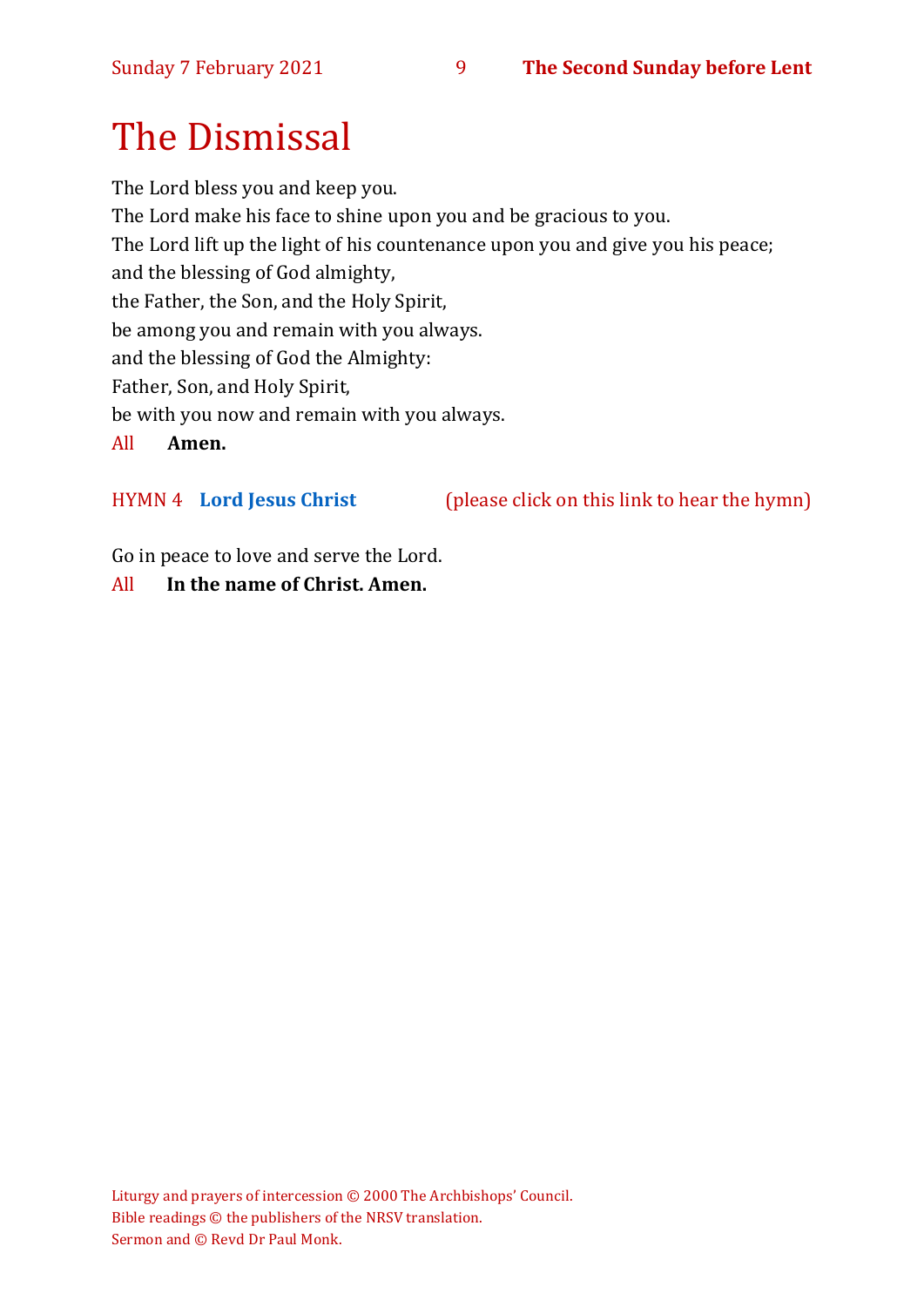# The Dismissal

The Lord bless you and keep you. The Lord make his face to shine upon you and be gracious to you. The Lord lift up the light of his countenance upon you and give you his peace; and the blessing of God almighty, the Father, the Son, and the Holy Spirit, be among you and remain with you always. and the blessing of God the Almighty: Father, Son, and Holy Spirit, be with you now and remain with you always. All **Amen.**

HYMN 4 **[Lord Jesus Christ](https://www.youtube.com/watch?v=ekVLG-p8Xsc)** (please click on this link to hear the hymn)

Go in peace to love and serve the Lord.

#### All **In the name of Christ. Amen.**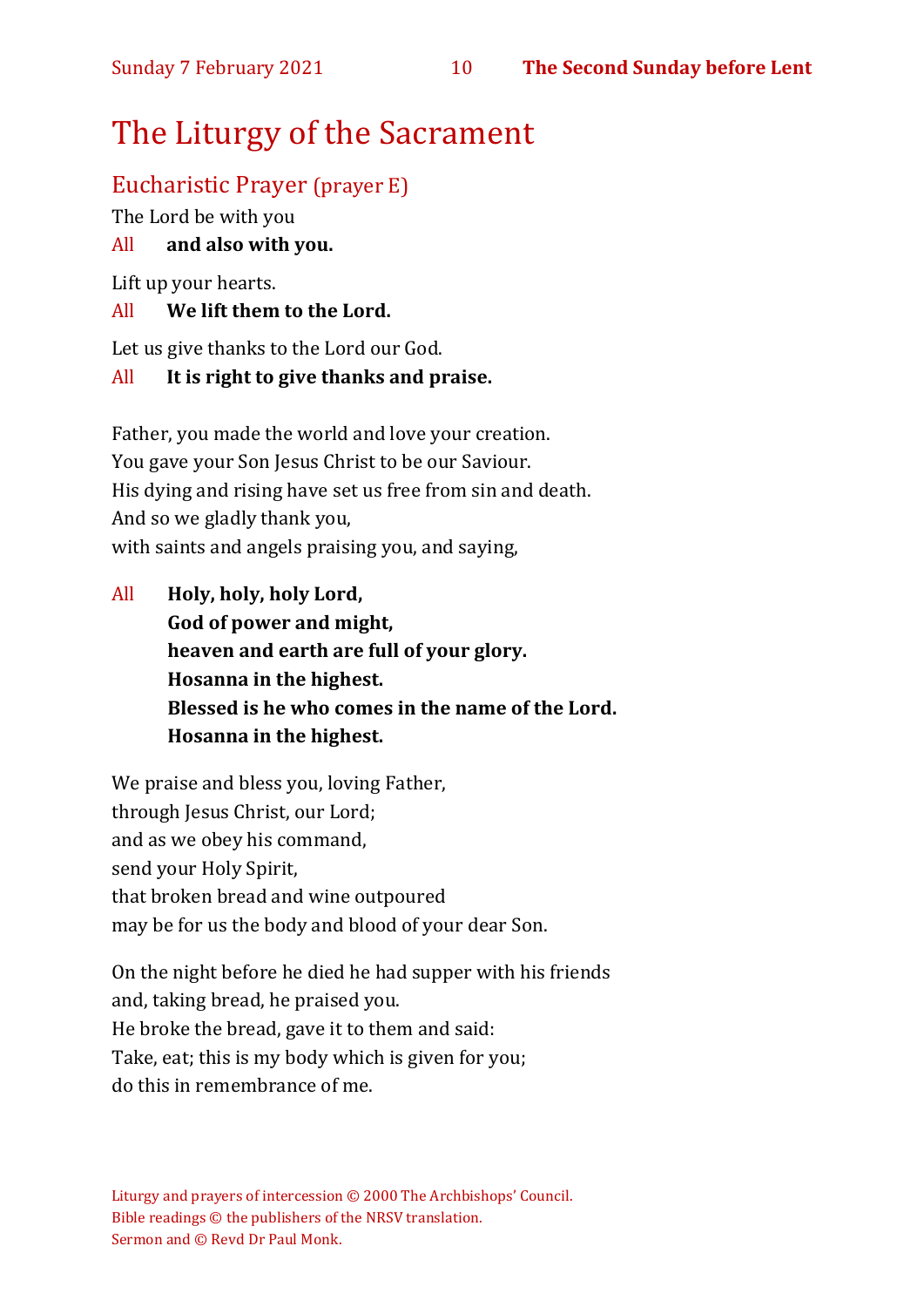# The Liturgy of the Sacrament

# Eucharistic Prayer (prayer E)

The Lord be with you

### All **and also with you.**

Lift up your hearts.

#### All **We lift them to the Lord.**

Let us give thanks to the Lord our God.

#### All **It is right to give thanks and praise.**

Father, you made the world and love your creation. You gave your Son Jesus Christ to be our Saviour. His dying and rising have set us free from sin and death. And so we gladly thank you, with saints and angels praising you, and saying,

All **Holy, holy, holy Lord, God of power and might, heaven and earth are full of your glory. Hosanna in the highest. Blessed is he who comes in the name of the Lord. Hosanna in the highest.**

We praise and bless you, loving Father, through Jesus Christ, our Lord; and as we obey his command, send your Holy Spirit, that broken bread and wine outpoured may be for us the body and blood of your dear Son.

On the night before he died he had supper with his friends and, taking bread, he praised you. He broke the bread, gave it to them and said: Take, eat; this is my body which is given for you; do this in remembrance of me.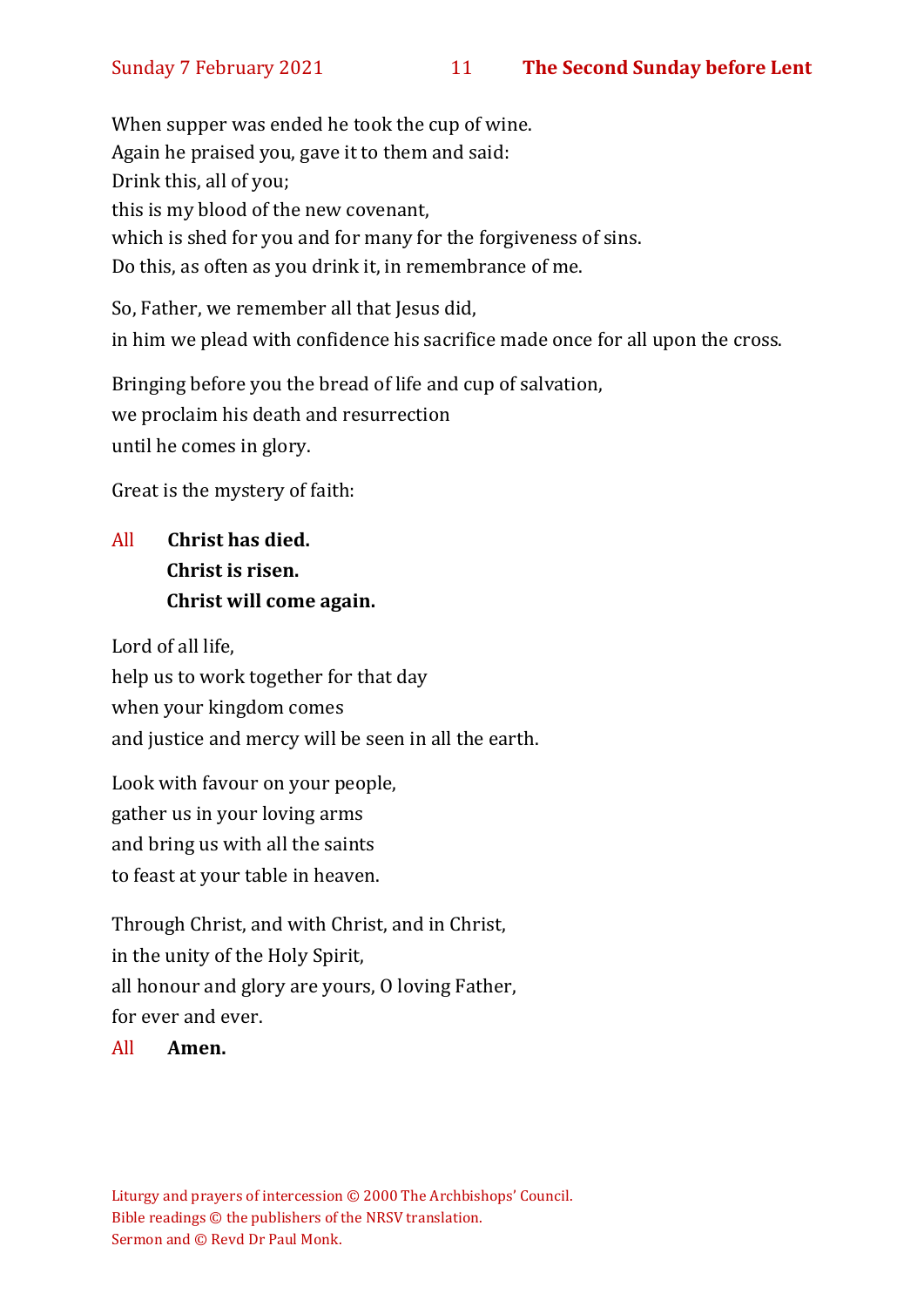When supper was ended he took the cup of wine. Again he praised you, gave it to them and said: Drink this, all of you; this is my blood of the new covenant, which is shed for you and for many for the forgiveness of sins. Do this, as often as you drink it, in remembrance of me.

So, Father, we remember all that Jesus did, in him we plead with confidence his sacrifice made once for all upon the cross.

Bringing before you the bread of life and cup of salvation, we proclaim his death and resurrection until he comes in glory.

Great is the mystery of faith:

# All **Christ has died. Christ is risen. Christ will come again.**

Lord of all life, help us to work together for that day when your kingdom comes and justice and mercy will be seen in all the earth.

Look with favour on your people, gather us in your loving arms and bring us with all the saints to feast at your table in heaven.

Through Christ, and with Christ, and in Christ, in the unity of the Holy Spirit, all honour and glory are yours, O loving Father, for ever and ever.

All **Amen.**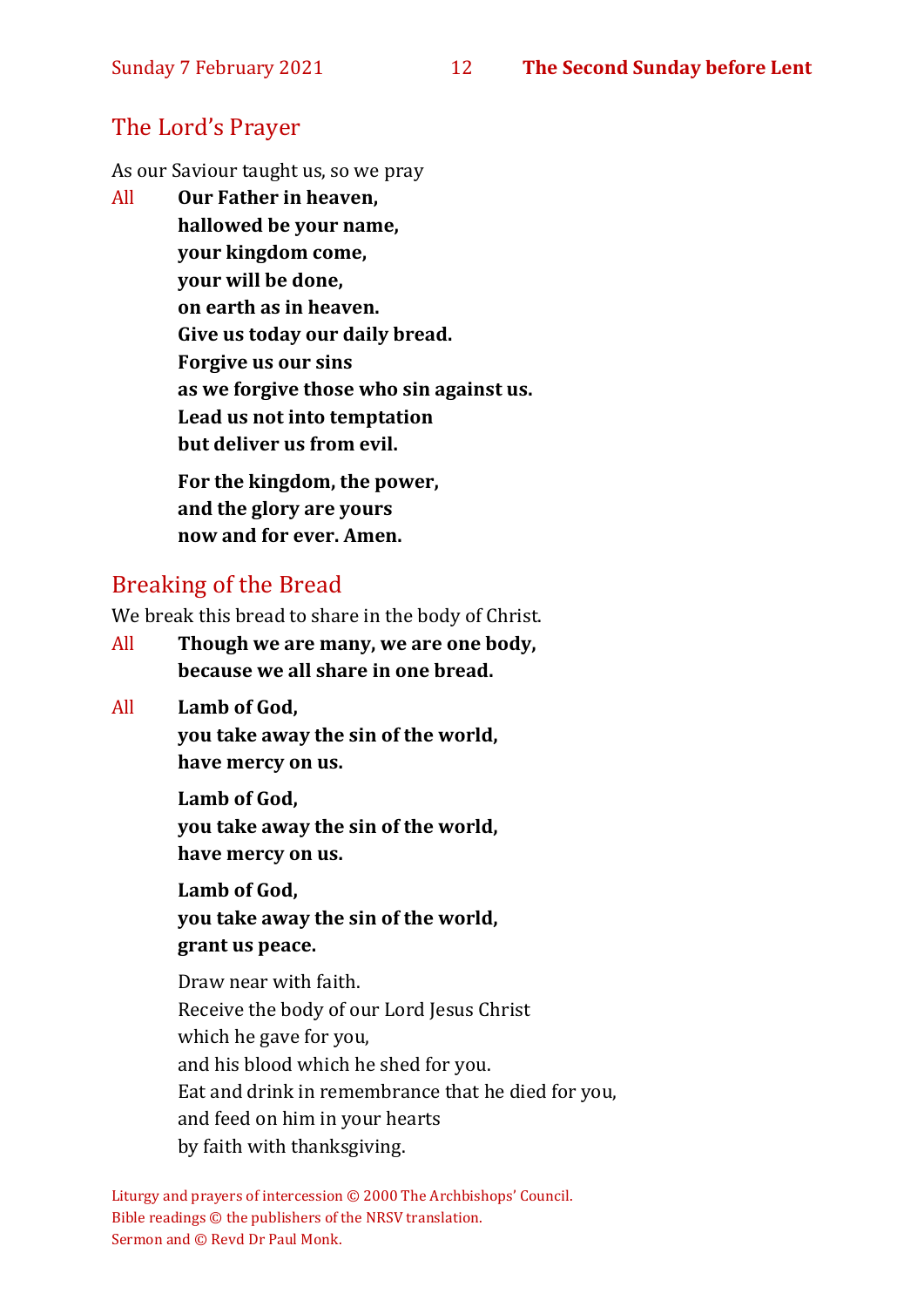# The Lord's Prayer

As our Saviour taught us, so we pray

All **Our Father in heaven, hallowed be your name, your kingdom come, your will be done, on earth as in heaven. Give us today our daily bread. Forgive us our sins as we forgive those who sin against us. Lead us not into temptation but deliver us from evil. For the kingdom, the power,** 

**and the glory are yours now and for ever. Amen.**

# Breaking of the Bread

We break this bread to share in the body of Christ.

- All **Though we are many, we are one body, because we all share in one bread.**
- All **Lamb of God,**

**you take away the sin of the world, have mercy on us.**

**Lamb of God, you take away the sin of the world, have mercy on us.**

**Lamb of God, you take away the sin of the world, grant us peace.**

Draw near with faith. Receive the body of our Lord Jesus Christ which he gave for you, and his blood which he shed for you. Eat and drink in remembrance that he died for you, and feed on him in your hearts by faith with thanksgiving.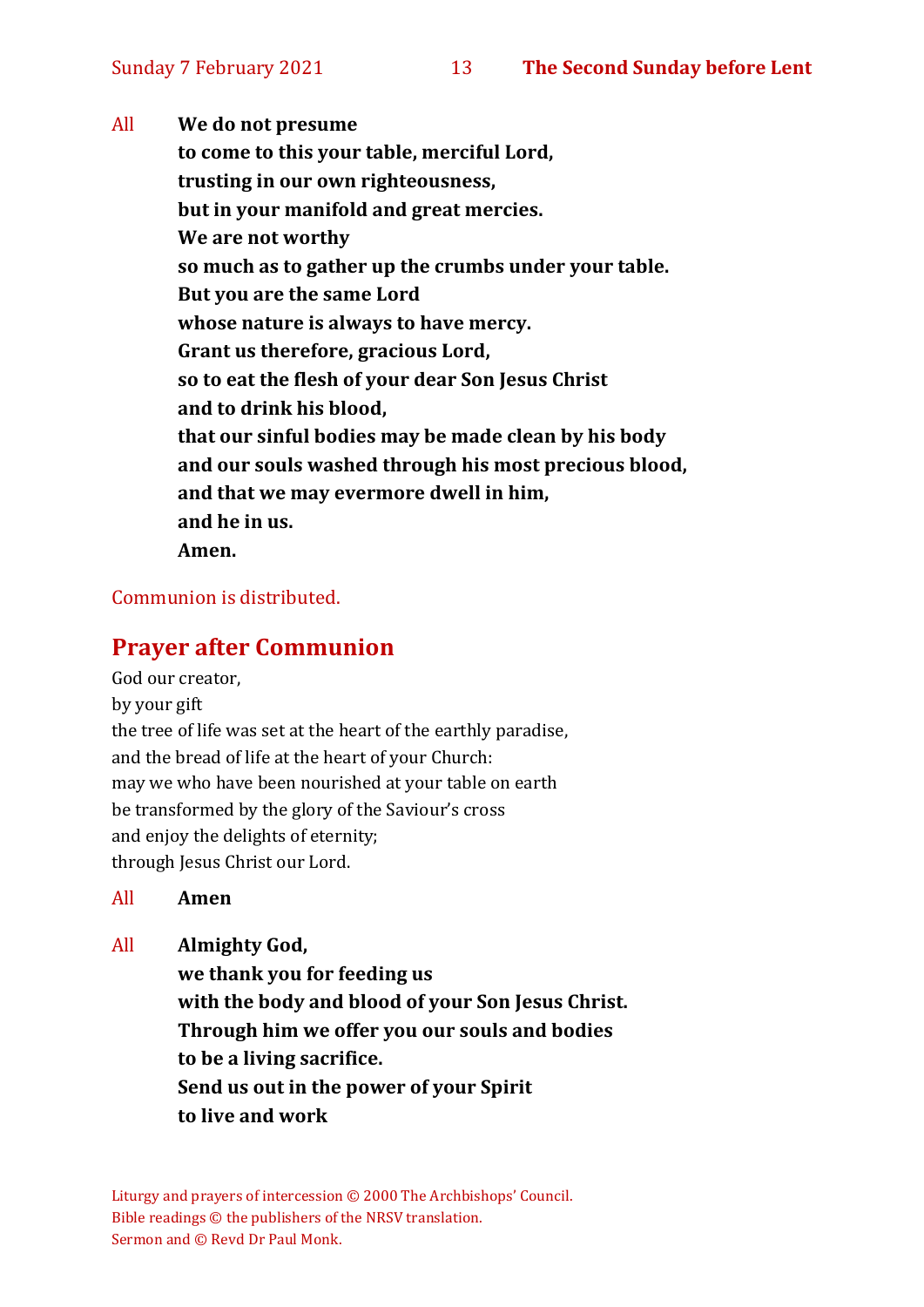All **We do not presume to come to this your table, merciful Lord, trusting in our own righteousness, but in your manifold and great mercies. We are not worthy so much as to gather up the crumbs under your table. But you are the same Lord whose nature is always to have mercy. Grant us therefore, gracious Lord, so to eat the flesh of your dear Son Jesus Christ and to drink his blood, that our sinful bodies may be made clean by his body and our souls washed through his most precious blood, and that we may evermore dwell in him, and he in us. Amen.**

#### Communion is distributed.

### **Prayer after Communion**

God our creator,

by your gift

the tree of life was set at the heart of the earthly paradise, and the bread of life at the heart of your Church: may we who have been nourished at your table on earth be transformed by the glory of the Saviour's cross and enjoy the delights of eternity; through Jesus Christ our Lord.

All **Amen**

All **Almighty God,**

**we thank you for feeding us with the body and blood of your Son Jesus Christ. Through him we offer you our souls and bodies to be a living sacrifice. Send us out in the power of your Spirit to live and work**